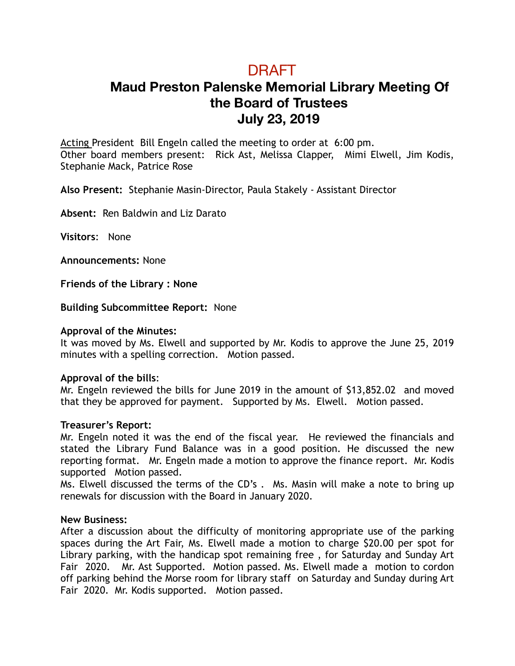# DRAFT

## **Maud Preston Palenske Memorial Library Meeting Of the Board of Trustees July 23, 2019**

Acting President Bill Engeln called the meeting to order at 6:00 pm. Other board members present: Rick Ast, Melissa Clapper, Mimi Elwell, Jim Kodis, Stephanie Mack, Patrice Rose

**Also Present:** Stephanie Masin-Director, Paula Stakely - Assistant Director

**Absent:** Ren Baldwin and Liz Darato

**Visitors**: None

**Announcements:** None

**Friends of the Library : None** 

**Building Subcommittee Report:** None

### **Approval of the Minutes:**

It was moved by Ms. Elwell and supported by Mr. Kodis to approve the June 25, 2019 minutes with a spelling correction. Motion passed.

#### **Approval of the bills**:

Mr. Engeln reviewed the bills for June 2019 in the amount of \$13,852.02 and moved that they be approved for payment. Supported by Ms. Elwell. Motion passed.

#### **Treasurer's Report:**

Mr. Engeln noted it was the end of the fiscal year. He reviewed the financials and stated the Library Fund Balance was in a good position. He discussed the new reporting format. Mr. Engeln made a motion to approve the finance report. Mr. Kodis supported Motion passed.

Ms. Elwell discussed the terms of the CD's . Ms. Masin will make a note to bring up renewals for discussion with the Board in January 2020.

#### **New Business:**

After a discussion about the difficulty of monitoring appropriate use of the parking spaces during the Art Fair, Ms. Elwell made a motion to charge \$20.00 per spot for Library parking, with the handicap spot remaining free , for Saturday and Sunday Art Fair 2020. Mr. Ast Supported. Motion passed. Ms. Elwell made a motion to cordon off parking behind the Morse room for library staff on Saturday and Sunday during Art Fair 2020. Mr. Kodis supported. Motion passed.